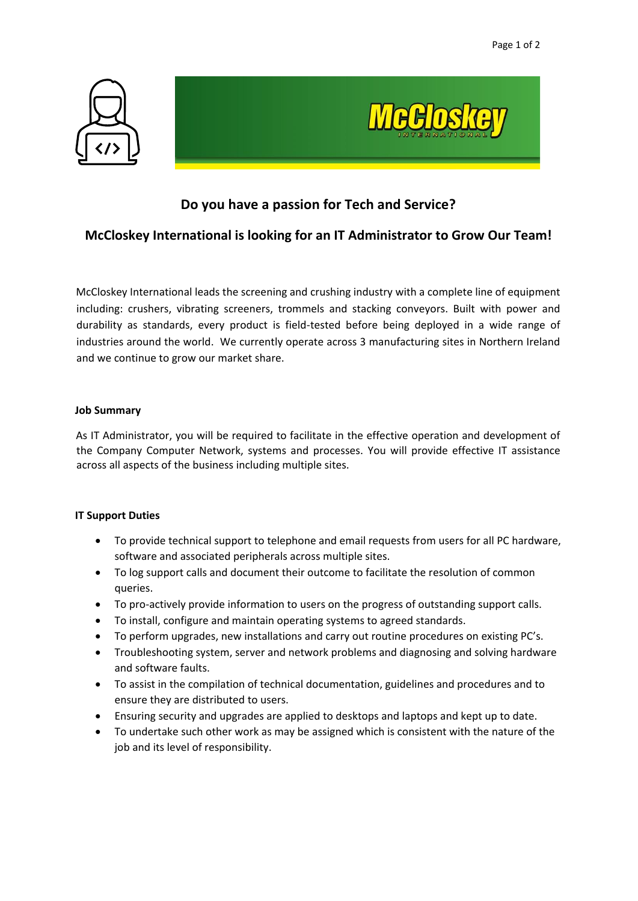



# **Do you have a passion for Tech and Service?**

## **McCloskey International is looking for an IT Administrator to Grow Our Team!**

McCloskey International leads the screening and crushing industry with a complete line of equipment including: crushers, vibrating screeners, trommels and stacking conveyors. Built with power and durability as standards, every product is field-tested before being deployed in a wide range of industries around the world. We currently operate across 3 manufacturing sites in Northern Ireland and we continue to grow our market share.

### **Job Summary**

As IT Administrator, you will be required to facilitate in the effective operation and development of the Company Computer Network, systems and processes. You will provide effective IT assistance across all aspects of the business including multiple sites.

### **IT Support Duties**

- To provide technical support to telephone and email requests from users for all PC hardware, software and associated peripherals across multiple sites.
- To log support calls and document their outcome to facilitate the resolution of common queries.
- To pro-actively provide information to users on the progress of outstanding support calls.
- To install, configure and maintain operating systems to agreed standards.
- To perform upgrades, new installations and carry out routine procedures on existing PC's.
- Troubleshooting system, server and network problems and diagnosing and solving hardware and software faults.
- To assist in the compilation of technical documentation, guidelines and procedures and to ensure they are distributed to users.
- Ensuring security and upgrades are applied to desktops and laptops and kept up to date.
- To undertake such other work as may be assigned which is consistent with the nature of the job and its level of responsibility.